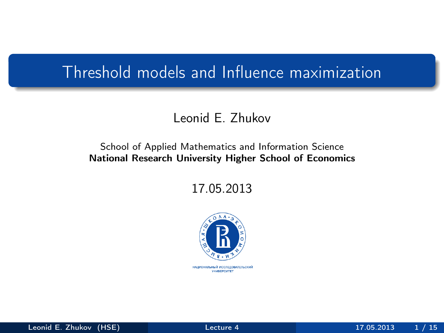## Threshold models and Influence maximization

#### Leonid E. Zhukov

#### School of Applied Mathematics and Information Science National Research University Higher School of Economics

17.05.2013



<span id="page-0-0"></span>**НАЦИОНАЛЬНЫЙ ИССЛЕДОВАТЕЛЬСКИЙ YHMBEPCWTET**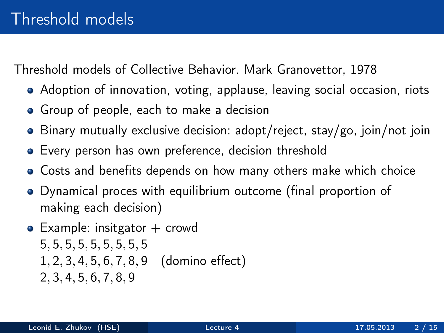Threshold models of Collective Behavior. Mark Granovettor, 1978

- Adoption of innovation, voting, applause, leaving social occasion, riots
- Group of people, each to make a decision
- Binary mutually exclusive decision: adopt/reject, stay/go, join/not join
- Every person has own preference, decision threshold
- Costs and benefits depends on how many others make which choice
- Dynamical proces with equilibrium outcome (final proportion of making each decision)
- $\bullet$  Example: insitgator  $+$  crowd 5, 5, 5, 5, 5, 5, 5, 5, 5 1, 2, 3, 4, 5, 6, 7, 8, 9 (domino effect) 2, 3, 4, 5, 6, 7, 8, 9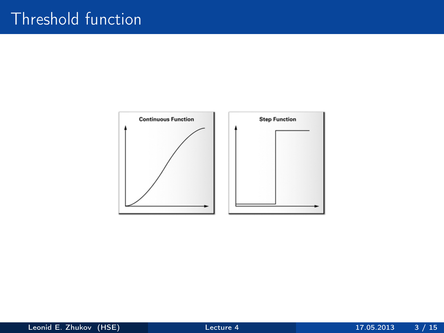# Threshold function

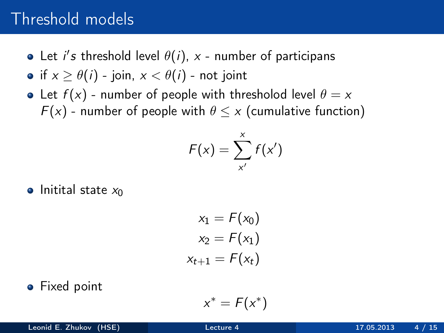#### Threshold models

Let i's threshold level  $\theta(i)$ , x - number of participans

• if 
$$
x \ge \theta(i)
$$
 - join,  $x < \theta(i)$  - not joint

• Let  $f(x)$  - number of people with thresholod level  $\theta = x$  $F(x)$  - number of people with  $\theta \leq x$  (cumulative function)

$$
F(x) = \sum_{x'}^{x} f(x')
$$

 $\bullet$  Initital state  $x_0$ 

$$
x_1 = F(x_0)
$$
  

$$
x_2 = F(x_1)
$$
  

$$
x_{t+1} = F(x_t)
$$

#### • Fixed point

$$
x^* = F(x^*)
$$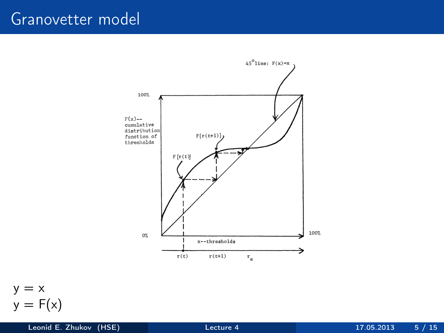#### Granovetter model





Leonid E. Zhukov (HSE) [Lecture 4](#page-0-0) 17.05.2013 5 / 15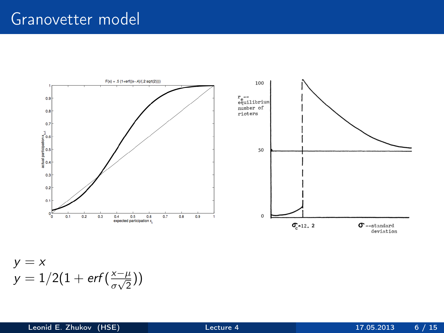#### Granovetter model



$$
y = x
$$
  
y = 1/2(1 + erf( $\frac{x-\mu}{\sigma\sqrt{2}}$ ))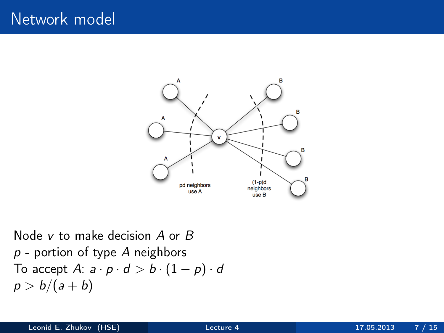

Node v to make decision A or B  $p$  - portion of type A neighbors To accept A:  $a \cdot p \cdot d > b \cdot (1 - p) \cdot d$  $p > b/(a + b)$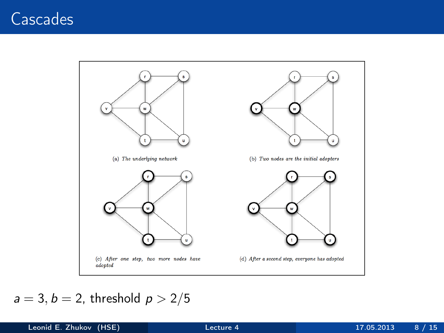## Cascades



#### $a = 3, b = 2$ , threshold  $p > 2/5$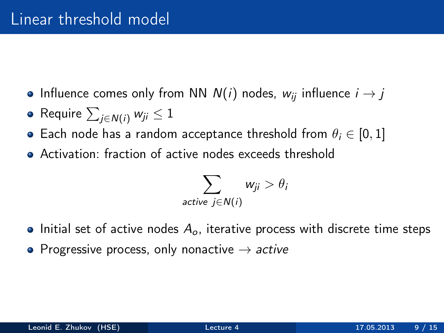- Influence comes only from NN  $N(i)$  nodes,  $w_{ii}$  influence  $i \rightarrow j$
- Require  $\sum_{j\in \mathcal{N}(i)} w_{ji} \leq 1$
- Each node has a random acceptance threshold from  $\theta_i \in [0, 1]$
- Activation: fraction of active nodes exceeds threshold

$$
\sum_{\text{active } j \in N(i)} w_{ji} > \theta_i
$$

- Initial set of active nodes  $A_{\alpha}$ , iterative process with discrete time steps
- Progressive process, only nonactive  $\rightarrow$  active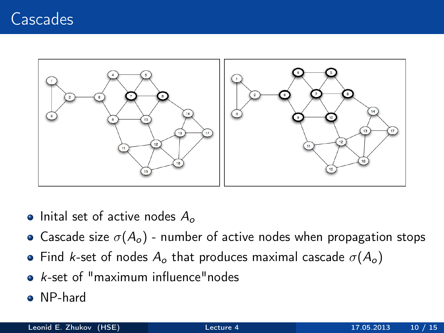## **Cascades**



- Inital set of active nodes  $A_{\alpha}$
- Cascade size  $\sigma(A_o)$  number of active nodes when propagation stops
- Find k-set of nodes  $A_0$  that produces maximal cascade  $\sigma(A_0)$
- $\bullet$  k-set of "maximum influence" nodes
- NP-hard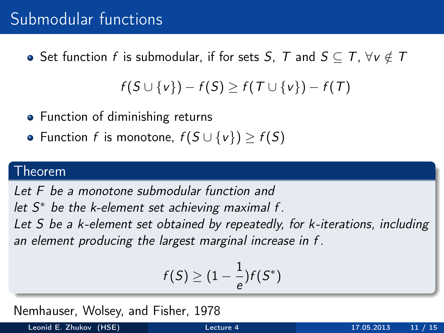### Submodular functions

• Set function f is submodular, if for sets S, T and  $S \subseteq T$ ,  $\forall v \notin T$ 

$$
f(S \cup \{v\}) - f(S) \geq f(T \cup \{v\}) - f(T)
$$

- Function of diminishing returns
- Function f is monotone,  $f(S \cup \{v\}) \ge f(S)$

#### Theorem

Let F be a monotone submodular function and

let  $S^*$  be the k-element set achieving maximal f.

Let S be a k-element set obtained by repeatedly, for k-iterations, including an element producing the largest marginal increase in f .

$$
f(S) \geq (1-\frac{1}{e})f(S^*)
$$

Nemhauser, Wolsey, and Fisher, 1978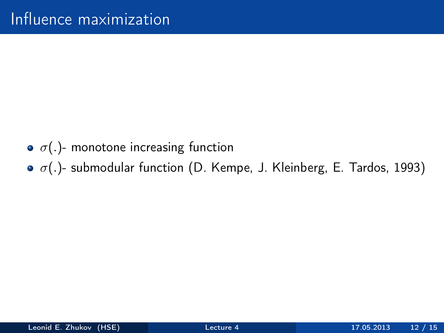- $\bullet$   $\sigma(.)$  monotone increasing function
- $\bullet$   $\sigma$ (.)- submodular function (D. Kempe, J. Kleinberg, E. Tardos, 1993)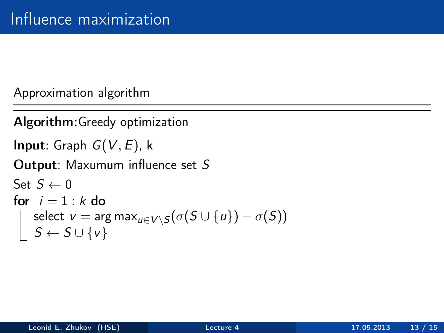Approximation algorithm

```
Algorithm:Greedy optimization
Input: Graph G(V, E), k
Output: Maxumum influence set S
Set S \leftarrow 0for i = 1 : k do
       select \text{v} = \text{arg max}_{\textcolor{black}{u} \in V \backslash \mathcal{S}} ( \sigma(\textcolor{black}{S} \cup \{\textcolor{black}{u}\}) - \sigma(\textcolor{black}{S}))\mathcal{S} \leftarrow \mathcal{S} \cup \{\mathsf{v}\}
```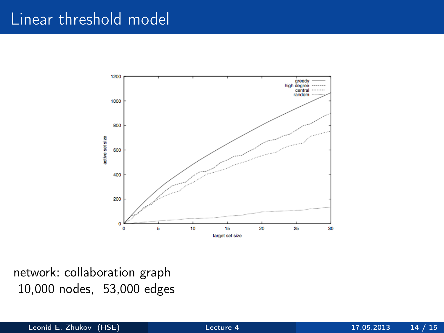#### Linear threshold model



network: collaboration graph 10,000 nodes, 53,000 edges